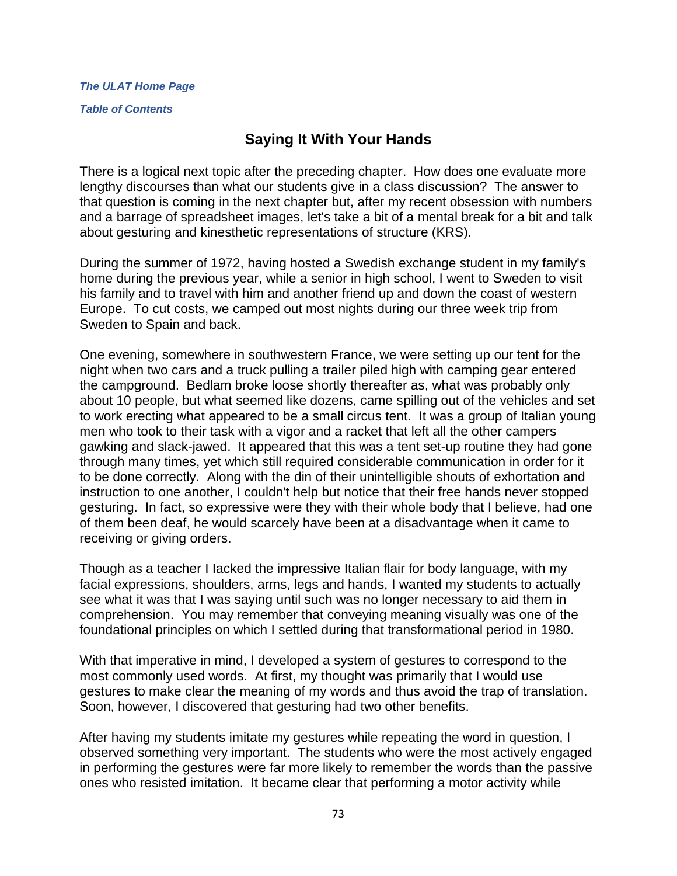#### *[The ULAT Home Page](http://www.theulat.com/)*

*[Table of Contents](http://www.theulat.com/INOTHERWORDS/CONTENTS.PDF)*

# **Saying It With Your Hands**

There is a logical next topic after the preceding chapter. How does one evaluate more lengthy discourses than what our students give in a class discussion? The answer to that question is coming in the next chapter but, after my recent obsession with numbers and a barrage of spreadsheet images, let's take a bit of a mental break for a bit and talk about gesturing and kinesthetic representations of structure (KRS).

During the summer of 1972, having hosted a Swedish exchange student in my family's home during the previous year, while a senior in high school, I went to Sweden to visit his family and to travel with him and another friend up and down the coast of western Europe. To cut costs, we camped out most nights during our three week trip from Sweden to Spain and back.

One evening, somewhere in southwestern France, we were setting up our tent for the night when two cars and a truck pulling a trailer piled high with camping gear entered the campground. Bedlam broke loose shortly thereafter as, what was probably only about 10 people, but what seemed like dozens, came spilling out of the vehicles and set to work erecting what appeared to be a small circus tent. It was a group of Italian young men who took to their task with a vigor and a racket that left all the other campers gawking and slack-jawed. It appeared that this was a tent set-up routine they had gone through many times, yet which still required considerable communication in order for it to be done correctly. Along with the din of their unintelligible shouts of exhortation and instruction to one another, I couldn't help but notice that their free hands never stopped gesturing. In fact, so expressive were they with their whole body that I believe, had one of them been deaf, he would scarcely have been at a disadvantage when it came to receiving or giving orders.

Though as a teacher I Iacked the impressive Italian flair for body language, with my facial expressions, shoulders, arms, legs and hands, I wanted my students to actually see what it was that I was saying until such was no longer necessary to aid them in comprehension. You may remember that conveying meaning visually was one of the foundational principles on which I settled during that transformational period in 1980.

With that imperative in mind, I developed a system of gestures to correspond to the most commonly used words. At first, my thought was primarily that I would use gestures to make clear the meaning of my words and thus avoid the trap of translation. Soon, however, I discovered that gesturing had two other benefits.

After having my students imitate my gestures while repeating the word in question, I observed something very important. The students who were the most actively engaged in performing the gestures were far more likely to remember the words than the passive ones who resisted imitation. It became clear that performing a motor activity while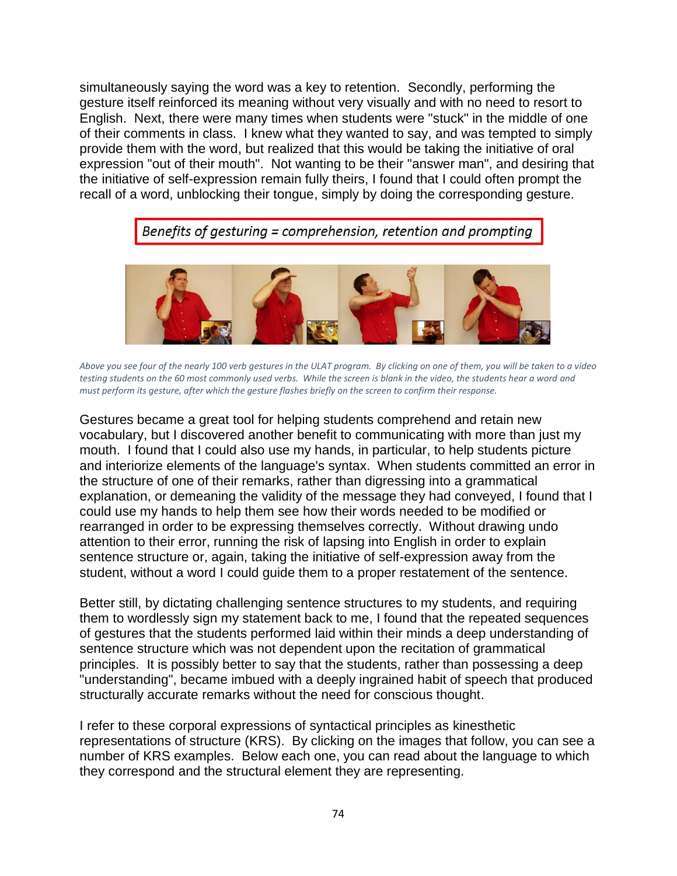simultaneously saying the word was a key to retention. Secondly, performing the gesture itself reinforced its meaning without very visually and with no need to resort to English. Next, there were many times when students were "stuck" in the middle of one of their comments in class. I knew what they wanted to say, and was tempted to simply provide them with the word, but realized that this would be taking the initiative of oral expression "out of their mouth". Not wanting to be their "answer man", and desiring that the initiative of self-expression remain fully theirs, I found that I could often prompt the recall of a word, unblocking their tongue, simply by doing the corresponding gesture.

Benefits of gesturing = comprehension, retention and prompting



*Above you see four of the nearly 100 verb gestures in the ULAT program. By clicking on one of them, you will be taken to a video testing students on the 60 most commonly used verbs. While the screen is blank in the video, the students hear a word and must perform its gesture, after which the gesture flashes briefly on the screen to confirm their response.*

Gestures became a great tool for helping students comprehend and retain new vocabulary, but I discovered another benefit to communicating with more than just my mouth. I found that I could also use my hands, in particular, to help students picture and interiorize elements of the language's syntax. When students committed an error in the structure of one of their remarks, rather than digressing into a grammatical explanation, or demeaning the validity of the message they had conveyed, I found that I could use my hands to help them see how their words needed to be modified or rearranged in order to be expressing themselves correctly. Without drawing undo attention to their error, running the risk of lapsing into English in order to explain sentence structure or, again, taking the initiative of self-expression away from the student, without a word I could guide them to a proper restatement of the sentence.

Better still, by dictating challenging sentence structures to my students, and requiring them to wordlessly sign my statement back to me, I found that the repeated sequences of gestures that the students performed laid within their minds a deep understanding of sentence structure which was not dependent upon the recitation of grammatical principles. It is possibly better to say that the students, rather than possessing a deep "understanding", became imbued with a deeply ingrained habit of speech that produced structurally accurate remarks without the need for conscious thought.

I refer to these corporal expressions of syntactical principles as kinesthetic representations of structure (KRS). By clicking on the images that follow, you can see a number of KRS examples. Below each one, you can read about the language to which they correspond and the structural element they are representing.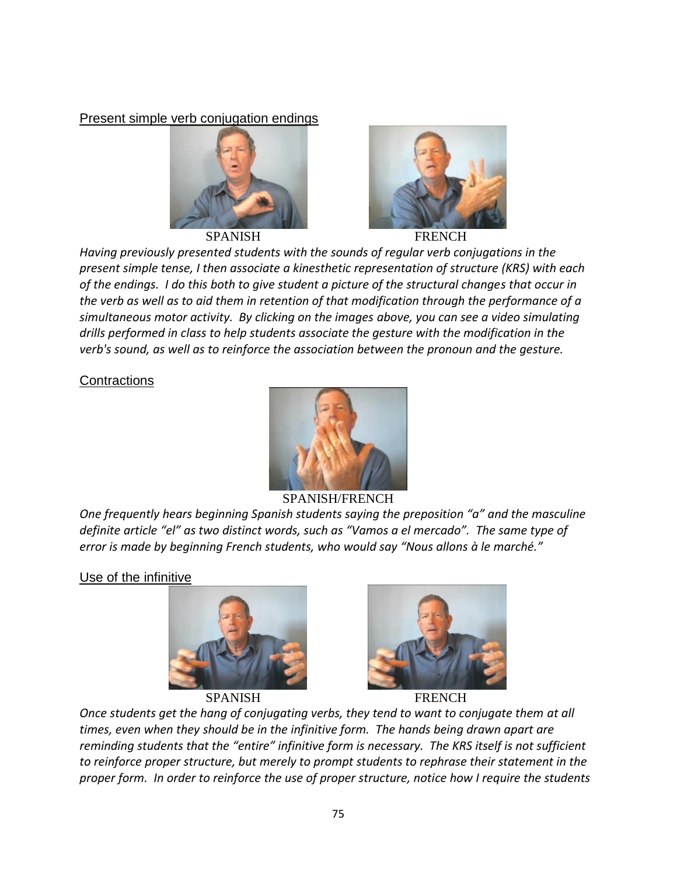Present simple verb conjugation endings





*Having previously presented students with the sounds of regular verb conjugations in the present simple tense, I then associate a kinesthetic representation of structure (KRS) with each of the endings. I do this both to give student a picture of the structural changes that occur in the verb as well as to aid them in retention of that modification through the performance of a simultaneous motor activity. By clicking on the images above, you can see a video simulating drills performed in class to help students associate the gesture with the modification in the verb's sound, as well as to reinforce the association between the pronoun and the gesture.*

**Contractions** 



### SPANISH/FRENCH

*One frequently hears beginning Spanish students saying the preposition "a" and the masculine definite article "el" as two distinct words, such as "Vamos a el mercado". The same type of error is made by beginning French students, who would say "Nous allons à le marché."*

### Use of the infinitive





SPANISH FRENCH

*Once students get the hang of conjugating verbs, they tend to want to conjugate them at all times, even when they should be in the infinitive form. The hands being drawn apart are reminding students that the "entire" infinitive form is necessary. The KRS itself is not sufficient to reinforce proper structure, but merely to prompt students to rephrase their statement in the proper form. In order to reinforce the use of proper structure, notice how I require the students*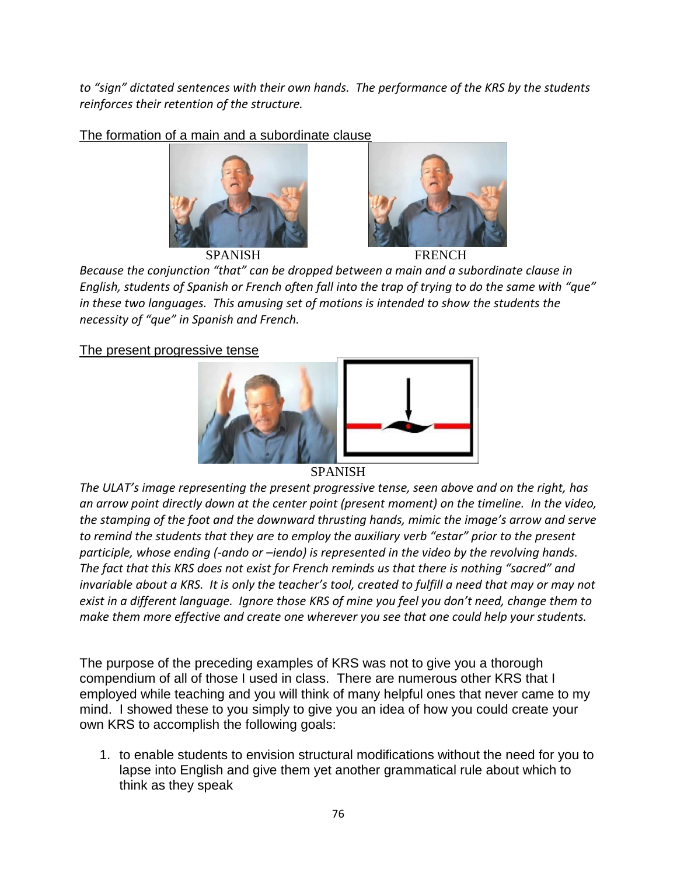*to "sign" dictated sentences with their own hands. The performance of the KRS by the students reinforces their retention of the structure.*

The formation of a main and a subordinate clause







*Because the conjunction "that" can be dropped between a main and a subordinate clause in English, students of Spanish or French often fall into the trap of trying to do the same with "que" in these two languages. This amusing set of motions is intended to show the students the necessity of "que" in Spanish and French.*

### The present progressive tense



#### SPANISH

*The ULAT's image representing the present progressive tense, seen above and on the right, has an arrow point directly down at the center point (present moment) on the timeline. In the video, the stamping of the foot and the downward thrusting hands, mimic the image's arrow and serve to remind the students that they are to employ the auxiliary verb "estar" prior to the present participle, whose ending (-ando or –iendo) is represented in the video by the revolving hands. The fact that this KRS does not exist for French reminds us that there is nothing "sacred" and invariable about a KRS. It is only the teacher's tool, created to fulfill a need that may or may not exist in a different language. Ignore those KRS of mine you feel you don't need, change them to make them more effective and create one wherever you see that one could help your students.*

The purpose of the preceding examples of KRS was not to give you a thorough compendium of all of those I used in class. There are numerous other KRS that I employed while teaching and you will think of many helpful ones that never came to my mind. I showed these to you simply to give you an idea of how you could create your own KRS to accomplish the following goals:

1. to enable students to envision structural modifications without the need for you to lapse into English and give them yet another grammatical rule about which to think as they speak